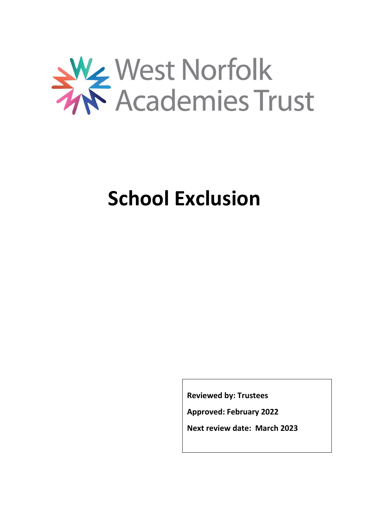

# **School Exclusion**

**Reviewed by: Trustees**

**Approved: February 2022**

**Next review date: March 2023**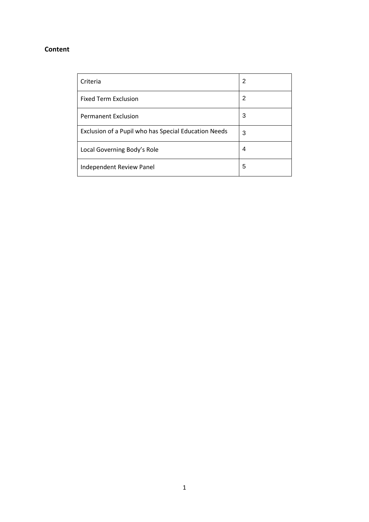## **Content**

| Criteria                                             | 2 |
|------------------------------------------------------|---|
| <b>Fixed Term Exclusion</b>                          | 2 |
| <b>Permanent Exclusion</b>                           | 3 |
| Exclusion of a Pupil who has Special Education Needs | 3 |
| Local Governing Body's Role                          | 4 |
| Independent Review Panel                             | 5 |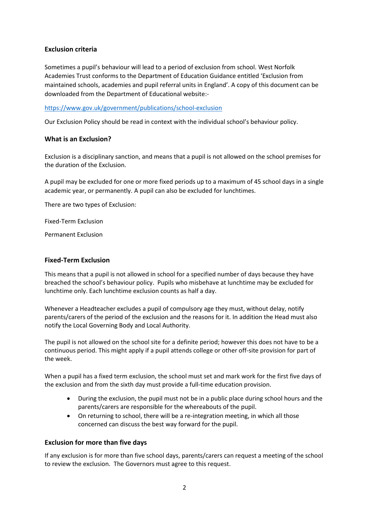## **Exclusion criteria**

Sometimes a pupil's behaviour will lead to a period of exclusion from school. West Norfolk Academies Trust conforms to the Department of Education Guidance entitled 'Exclusion from maintained schools, academies and pupil referral units in England'. A copy of this document can be downloaded from the Department of Educational website:-

<https://www.gov.uk/government/publications/school-exclusion>

Our Exclusion Policy should be read in context with the individual school's behaviour policy.

## **What is an Exclusion?**

Exclusion is a disciplinary sanction, and means that a pupil is not allowed on the school premises for the duration of the Exclusion.

A pupil may be excluded for one or more fixed periods up to a maximum of 45 school days in a single academic year, or permanently. A pupil can also be excluded for lunchtimes.

There are two types of Exclusion:

Fixed-Term Exclusion

Permanent Exclusion

#### **Fixed-Term Exclusion**

This means that a pupil is not allowed in school for a specified number of days because they have breached the school's behaviour policy. Pupils who misbehave at lunchtime may be excluded for lunchtime only. Each lunchtime exclusion counts as half a day.

Whenever a Headteacher excludes a pupil of compulsory age they must, without delay, notify parents/carers of the period of the exclusion and the reasons for it. In addition the Head must also notify the Local Governing Body and Local Authority.

The pupil is not allowed on the school site for a definite period; however this does not have to be a continuous period. This might apply if a pupil attends college or other off-site provision for part of the week.

When a pupil has a fixed term exclusion, the school must set and mark work for the first five days of the exclusion and from the sixth day must provide a full-time education provision.

- During the exclusion, the pupil must not be in a public place during school hours and the parents/carers are responsible for the whereabouts of the pupil.
- On returning to school, there will be a re-integration meeting, in which all those concerned can discuss the best way forward for the pupil.

## **Exclusion for more than five days**

If any exclusion is for more than five school days, parents/carers can request a meeting of the school to review the exclusion. The Governors must agree to this request.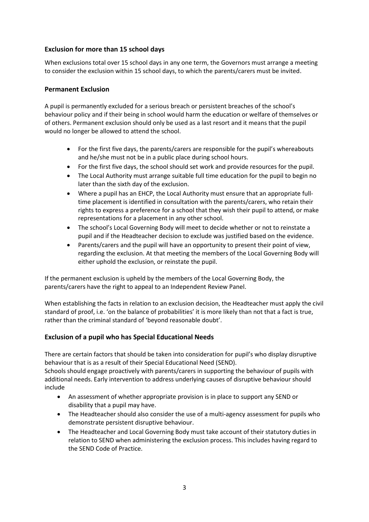## **Exclusion for more than 15 school days**

When exclusions total over 15 school days in any one term, the Governors must arrange a meeting to consider the exclusion within 15 school days, to which the parents/carers must be invited.

## **Permanent Exclusion**

A pupil is permanently excluded for a serious breach or persistent breaches of the school's behaviour policy and if their being in school would harm the education or welfare of themselves or of others. Permanent exclusion should only be used as a last resort and it means that the pupil would no longer be allowed to attend the school.

- For the first five days, the parents/carers are responsible for the pupil's whereabouts and he/she must not be in a public place during school hours.
- For the first five days, the school should set work and provide resources for the pupil.
- The Local Authority must arrange suitable full time education for the pupil to begin no later than the sixth day of the exclusion.
- Where a pupil has an EHCP, the Local Authority must ensure that an appropriate fulltime placement is identified in consultation with the parents/carers, who retain their rights to express a preference for a school that they wish their pupil to attend, or make representations for a placement in any other school.
- The school's Local Governing Body will meet to decide whether or not to reinstate a pupil and if the Headteacher decision to exclude was justified based on the evidence.
- Parents/carers and the pupil will have an opportunity to present their point of view, regarding the exclusion. At that meeting the members of the Local Governing Body will either uphold the exclusion, or reinstate the pupil.

If the permanent exclusion is upheld by the members of the Local Governing Body, the parents/carers have the right to appeal to an Independent Review Panel.

When establishing the facts in relation to an exclusion decision, the Headteacher must apply the civil standard of proof, i.e. 'on the balance of probabilities' it is more likely than not that a fact is true, rather than the criminal standard of 'beyond reasonable doubt'.

## **Exclusion of a pupil who has Special Educational Needs**

There are certain factors that should be taken into consideration for pupil's who display disruptive behaviour that is as a result of their Special Educational Need (SEND).

Schools should engage proactively with parents/carers in supporting the behaviour of pupils with additional needs. Early intervention to address underlying causes of disruptive behaviour should include

- An assessment of whether appropriate provision is in place to support any SEND or disability that a pupil may have.
- The Headteacher should also consider the use of a multi-agency assessment for pupils who demonstrate persistent disruptive behaviour.
- The Headteacher and Local Governing Body must take account of their statutory duties in relation to SEND when administering the exclusion process. This includes having regard to the SEND Code of Practice.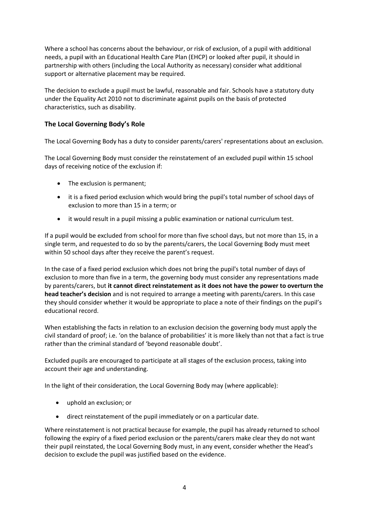Where a school has concerns about the behaviour, or risk of exclusion, of a pupil with additional needs, a pupil with an Educational Health Care Plan (EHCP) or looked after pupil, it should in partnership with others (including the Local Authority as necessary) consider what additional support or alternative placement may be required.

The decision to exclude a pupil must be lawful, reasonable and fair. Schools have a statutory duty under the Equality Act 2010 not to discriminate against pupils on the basis of protected characteristics, such as disability.

## **The Local Governing Body's Role**

The Local Governing Body has a duty to consider parents/carers' representations about an exclusion.

The Local Governing Body must consider the reinstatement of an excluded pupil within 15 school days of receiving notice of the exclusion if:

- The exclusion is permanent;
- it is a fixed period exclusion which would bring the pupil's total number of school days of exclusion to more than 15 in a term; or
- it would result in a pupil missing a public examination or national curriculum test.

If a pupil would be excluded from school for more than five school days, but not more than 15, in a single term, and requested to do so by the parents/carers, the Local Governing Body must meet within 50 school days after they receive the parent's request.

In the case of a fixed period exclusion which does not bring the pupil's total number of days of exclusion to more than five in a term, the governing body must consider any representations made by parents/carers, but **it cannot direct reinstatement as it does not have the power to overturn the head teacher's decision** and is not required to arrange a meeting with parents/carers. In this case they should consider whether it would be appropriate to place a note of their findings on the pupil's educational record.

When establishing the facts in relation to an exclusion decision the governing body must apply the civil standard of proof; i.e. 'on the balance of probabilities' it is more likely than not that a fact is true rather than the criminal standard of 'beyond reasonable doubt'.

Excluded pupils are encouraged to participate at all stages of the exclusion process, taking into account their age and understanding.

In the light of their consideration, the Local Governing Body may (where applicable):

- uphold an exclusion; or
- direct reinstatement of the pupil immediately or on a particular date.

Where reinstatement is not practical because for example, the pupil has already returned to school following the expiry of a fixed period exclusion or the parents/carers make clear they do not want their pupil reinstated, the Local Governing Body must, in any event, consider whether the Head's decision to exclude the pupil was justified based on the evidence.